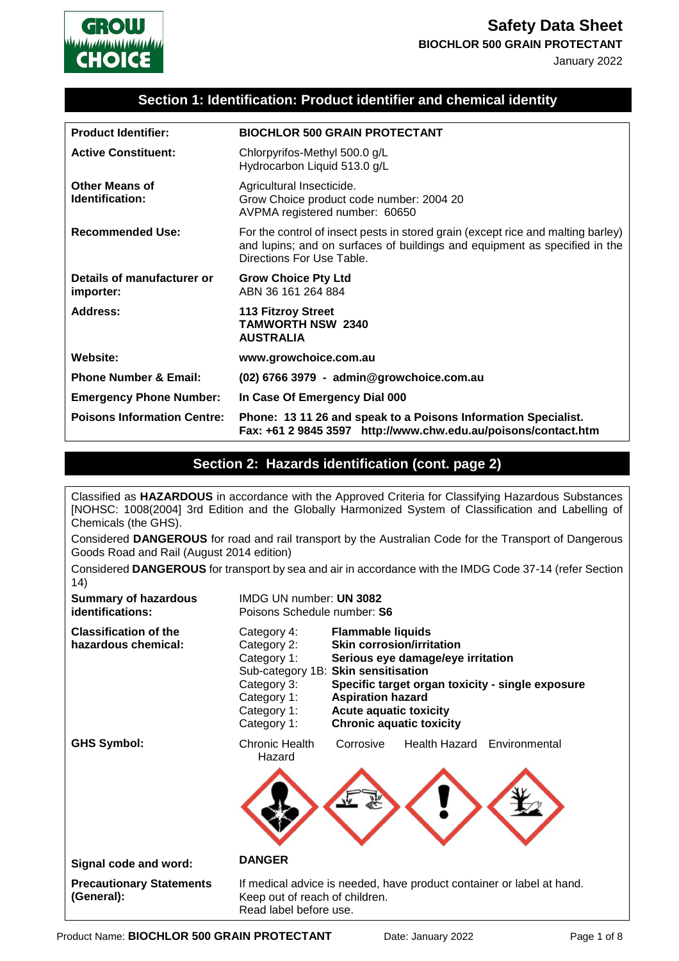

January 2022

### **Section 1: Identification: Product identifier and chemical identity**

| <b>Product Identifier:</b>               | <b>BIOCHLOR 500 GRAIN PROTECTANT</b>                                                                                                                                                        |
|------------------------------------------|---------------------------------------------------------------------------------------------------------------------------------------------------------------------------------------------|
| <b>Active Constituent:</b>               | Chlorpyrifos-Methyl 500.0 g/L<br>Hydrocarbon Liquid 513.0 g/L                                                                                                                               |
| <b>Other Means of</b><br>Identification: | Agricultural Insecticide.<br>Grow Choice product code number: 2004 20<br>AVPMA registered number: 60650                                                                                     |
| <b>Recommended Use:</b>                  | For the control of insect pests in stored grain (except rice and malting barley)<br>and lupins; and on surfaces of buildings and equipment as specified in the<br>Directions For Use Table. |
| Details of manufacturer or<br>importer:  | <b>Grow Choice Pty Ltd</b><br>ABN 36 161 264 884                                                                                                                                            |
| Address:                                 | <b>113 Fitzroy Street</b><br><b>TAMWORTH NSW 2340</b><br><b>AUSTRALIA</b>                                                                                                                   |
| Website:                                 | www.growchoice.com.au                                                                                                                                                                       |
| <b>Phone Number &amp; Email:</b>         | (02) 6766 3979 - admin@growchoice.com.au                                                                                                                                                    |
| <b>Emergency Phone Number:</b>           | In Case Of Emergency Dial 000                                                                                                                                                               |
| <b>Poisons Information Centre:</b>       | Phone: 13 11 26 and speak to a Poisons Information Specialist.<br>Fax: +61 2 9845 3597 http://www.chw.edu.au/poisons/contact.htm                                                            |

## **Section 2: Hazards identification (cont. page 2)**

Classified as **HAZARDOUS** in accordance with the Approved Criteria for Classifying Hazardous Substances [NOHSC: 1008(2004] 3rd Edition and the Globally Harmonized System of Classification and Labelling of Chemicals (the GHS).

Considered **DANGEROUS** for road and rail transport by the Australian Code for the Transport of Dangerous Goods Road and Rail (August 2014 edition)

Considered **DANGEROUS** for transport by sea and air in accordance with the IMDG Code 37-14 (refer Section 14)

| <b>Summary of hazardous</b><br>identifications:     | IMDG UN number: UN 3082<br>Poisons Schedule number: S6                                                                                                                                                                                                                                                                                                                                                |  |
|-----------------------------------------------------|-------------------------------------------------------------------------------------------------------------------------------------------------------------------------------------------------------------------------------------------------------------------------------------------------------------------------------------------------------------------------------------------------------|--|
| <b>Classification of the</b><br>hazardous chemical: | <b>Flammable liquids</b><br>Category 4:<br><b>Skin corrosion/irritation</b><br>Category 2:<br>Category 1:<br>Serious eye damage/eye irritation<br>Sub-category 1B: Skin sensitisation<br>Category 3:<br>Specific target organ toxicity - single exposure<br><b>Aspiration hazard</b><br>Category 1:<br><b>Acute aquatic toxicity</b><br>Category 1:<br><b>Chronic aquatic toxicity</b><br>Category 1: |  |
| <b>GHS Symbol:</b>                                  | Chronic Health<br>Corrosive<br>Health Hazard Environmental<br>Hazard                                                                                                                                                                                                                                                                                                                                  |  |
| Signal code and word:                               | <b>DANGER</b>                                                                                                                                                                                                                                                                                                                                                                                         |  |
| <b>Precautionary Statements</b><br>(General):       | If medical advice is needed, have product container or label at hand.<br>Keep out of reach of children.<br>Read label before use.                                                                                                                                                                                                                                                                     |  |

Product Name: **BIOCHLOR 500 GRAIN PROTECTANT** Date: January 2022 Page 1 of 8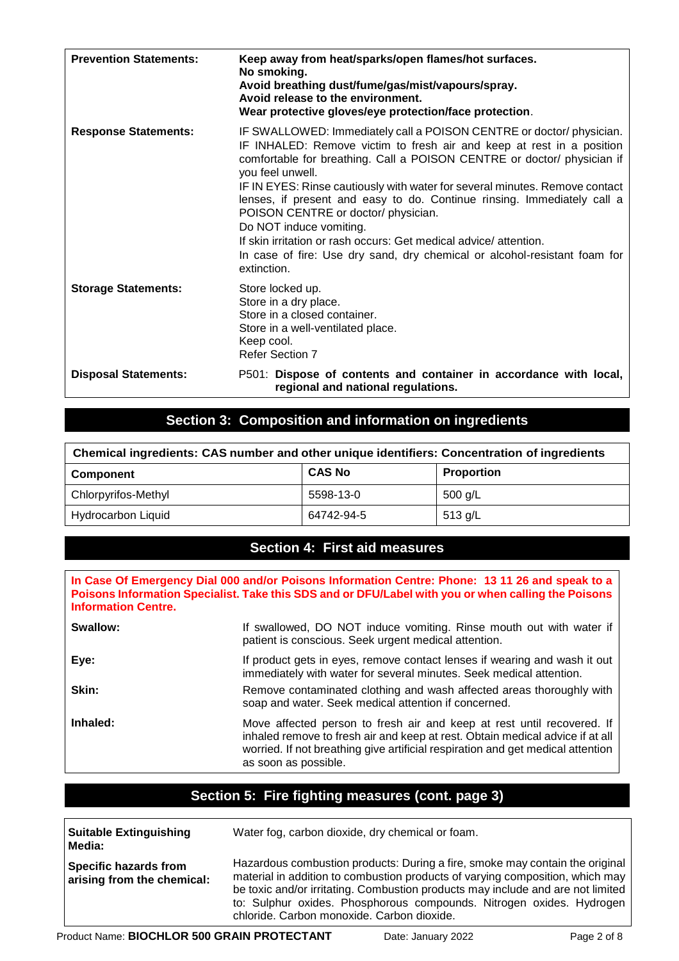| <b>Prevention Statements:</b> | Keep away from heat/sparks/open flames/hot surfaces.<br>No smoking.<br>Avoid breathing dust/fume/gas/mist/vapours/spray.<br>Avoid release to the environment.<br>Wear protective gloves/eye protection/face protection.                                                                                                                                                                                                                                                                                                                                                                                                                  |
|-------------------------------|------------------------------------------------------------------------------------------------------------------------------------------------------------------------------------------------------------------------------------------------------------------------------------------------------------------------------------------------------------------------------------------------------------------------------------------------------------------------------------------------------------------------------------------------------------------------------------------------------------------------------------------|
| <b>Response Statements:</b>   | IF SWALLOWED: Immediately call a POISON CENTRE or doctor/ physician.<br>IF INHALED: Remove victim to fresh air and keep at rest in a position<br>comfortable for breathing. Call a POISON CENTRE or doctor/ physician if<br>you feel unwell.<br>IF IN EYES: Rinse cautiously with water for several minutes. Remove contact<br>lenses, if present and easy to do. Continue rinsing. Immediately call a<br>POISON CENTRE or doctor/ physician.<br>Do NOT induce vomiting.<br>If skin irritation or rash occurs: Get medical advice/attention.<br>In case of fire: Use dry sand, dry chemical or alcohol-resistant foam for<br>extinction. |
| <b>Storage Statements:</b>    | Store locked up.<br>Store in a dry place.<br>Store in a closed container.<br>Store in a well-ventilated place.<br>Keep cool.<br><b>Refer Section 7</b>                                                                                                                                                                                                                                                                                                                                                                                                                                                                                   |
| <b>Disposal Statements:</b>   | P501: Dispose of contents and container in accordance with local,<br>regional and national regulations.                                                                                                                                                                                                                                                                                                                                                                                                                                                                                                                                  |

# **Section 3: Composition and information on ingredients**

| Chemical ingredients: CAS number and other unique identifiers: Concentration of ingredients |               |                   |
|---------------------------------------------------------------------------------------------|---------------|-------------------|
| Component                                                                                   | <b>CAS No</b> | <b>Proportion</b> |
| Chlorpyrifos-Methyl                                                                         | 5598-13-0     | 500 g/L           |
| <b>Hydrocarbon Liquid</b>                                                                   | 64742-94-5    | 513 $g/L$         |

## **Section 4: First aid measures**

**In Case Of Emergency Dial 000 and/or Poisons Information Centre: Phone: 13 11 26 and speak to a Poisons Information Specialist. Take this SDS and or DFU/Label with you or when calling the Poisons Information Centre.**

| Swallow: | If swallowed, DO NOT induce vomiting. Rinse mouth out with water if<br>patient is conscious. Seek urgent medical attention.                                                                                                                                        |
|----------|--------------------------------------------------------------------------------------------------------------------------------------------------------------------------------------------------------------------------------------------------------------------|
| Eye:     | If product gets in eyes, remove contact lenses if wearing and wash it out<br>immediately with water for several minutes. Seek medical attention.                                                                                                                   |
| Skin:    | Remove contaminated clothing and wash affected areas thoroughly with<br>soap and water. Seek medical attention if concerned.                                                                                                                                       |
| Inhaled: | Move affected person to fresh air and keep at rest until recovered. If<br>inhaled remove to fresh air and keep at rest. Obtain medical advice if at all<br>worried. If not breathing give artificial respiration and get medical attention<br>as soon as possible. |

## **Section 5: Fire fighting measures (cont. page 3)**

| <b>Suitable Extinguishing</b><br>Media:             | Water fog, carbon dioxide, dry chemical or foam.                                                                                                                                                                                                                                                                         |
|-----------------------------------------------------|--------------------------------------------------------------------------------------------------------------------------------------------------------------------------------------------------------------------------------------------------------------------------------------------------------------------------|
| Specific hazards from<br>arising from the chemical: | Hazardous combustion products: During a fire, smoke may contain the original<br>material in addition to combustion products of varying composition, which may<br>be toxic and/or irritating. Combustion products may include and are not limited<br>to: Sulphur oxides. Phosphorous compounds. Nitrogen oxides. Hydrogen |

chloride. Carbon monoxide. Carbon dioxide.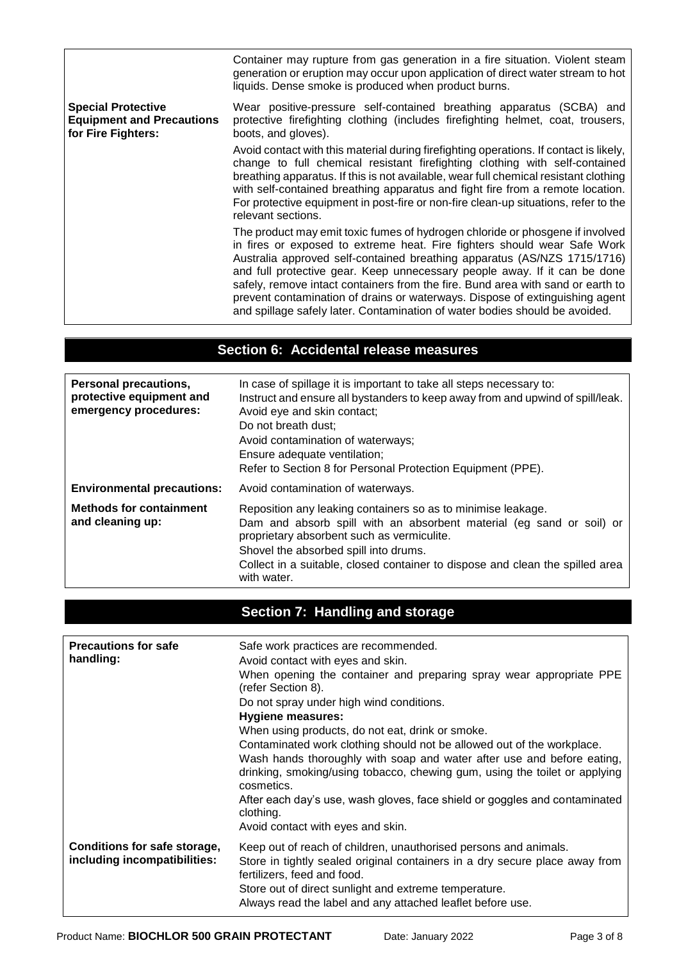|                                                                                     | Container may rupture from gas generation in a fire situation. Violent steam<br>generation or eruption may occur upon application of direct water stream to hot<br>liquids. Dense smoke is produced when product burns.                                                                                                                                                                                                                                                                                                                                              |
|-------------------------------------------------------------------------------------|----------------------------------------------------------------------------------------------------------------------------------------------------------------------------------------------------------------------------------------------------------------------------------------------------------------------------------------------------------------------------------------------------------------------------------------------------------------------------------------------------------------------------------------------------------------------|
| <b>Special Protective</b><br><b>Equipment and Precautions</b><br>for Fire Fighters: | Wear positive-pressure self-contained breathing apparatus (SCBA) and<br>protective firefighting clothing (includes firefighting helmet, coat, trousers,<br>boots, and gloves).                                                                                                                                                                                                                                                                                                                                                                                       |
|                                                                                     | Avoid contact with this material during firefighting operations. If contact is likely,<br>change to full chemical resistant firefighting clothing with self-contained<br>breathing apparatus. If this is not available, wear full chemical resistant clothing<br>with self-contained breathing apparatus and fight fire from a remote location.<br>For protective equipment in post-fire or non-fire clean-up situations, refer to the<br>relevant sections.                                                                                                         |
|                                                                                     | The product may emit toxic fumes of hydrogen chloride or phosgene if involved<br>in fires or exposed to extreme heat. Fire fighters should wear Safe Work<br>Australia approved self-contained breathing apparatus (AS/NZS 1715/1716)<br>and full protective gear. Keep unnecessary people away. If it can be done<br>safely, remove intact containers from the fire. Bund area with sand or earth to<br>prevent contamination of drains or waterways. Dispose of extinguishing agent<br>and spillage safely later. Contamination of water bodies should be avoided. |

## **Section 6: Accidental release measures**

| Personal precautions,<br>protective equipment and<br>emergency procedures: | In case of spillage it is important to take all steps necessary to:<br>Instruct and ensure all bystanders to keep away from and upwind of spill/leak.<br>Avoid eye and skin contact;<br>Do not breath dust;<br>Avoid contamination of waterways;<br>Ensure adequate ventilation;<br>Refer to Section 8 for Personal Protection Equipment (PPE). |  |
|----------------------------------------------------------------------------|-------------------------------------------------------------------------------------------------------------------------------------------------------------------------------------------------------------------------------------------------------------------------------------------------------------------------------------------------|--|
| <b>Environmental precautions:</b>                                          | Avoid contamination of waterways.                                                                                                                                                                                                                                                                                                               |  |
| <b>Methods for containment</b><br>and cleaning up:                         | Reposition any leaking containers so as to minimise leakage.<br>Dam and absorb spill with an absorbent material (eg sand or soil) or<br>proprietary absorbent such as vermiculite.<br>Shovel the absorbed spill into drums.<br>Collect in a suitable, closed container to dispose and clean the spilled area<br>with water.                     |  |

## **Section 7: Handling and storage**

| <b>Precautions for safe</b><br>handling:                     | Safe work practices are recommended.<br>Avoid contact with eyes and skin.<br>When opening the container and preparing spray wear appropriate PPE<br>(refer Section 8).<br>Do not spray under high wind conditions.<br><b>Hygiene measures:</b><br>When using products, do not eat, drink or smoke.<br>Contaminated work clothing should not be allowed out of the workplace.<br>Wash hands thoroughly with soap and water after use and before eating,<br>drinking, smoking/using tobacco, chewing gum, using the toilet or applying<br>cosmetics.<br>After each day's use, wash gloves, face shield or goggles and contaminated<br>clothing.<br>Avoid contact with eyes and skin. |
|--------------------------------------------------------------|------------------------------------------------------------------------------------------------------------------------------------------------------------------------------------------------------------------------------------------------------------------------------------------------------------------------------------------------------------------------------------------------------------------------------------------------------------------------------------------------------------------------------------------------------------------------------------------------------------------------------------------------------------------------------------|
| Conditions for safe storage,<br>including incompatibilities: | Keep out of reach of children, unauthorised persons and animals.<br>Store in tightly sealed original containers in a dry secure place away from<br>fertilizers, feed and food.<br>Store out of direct sunlight and extreme temperature.<br>Always read the label and any attached leaflet before use.                                                                                                                                                                                                                                                                                                                                                                              |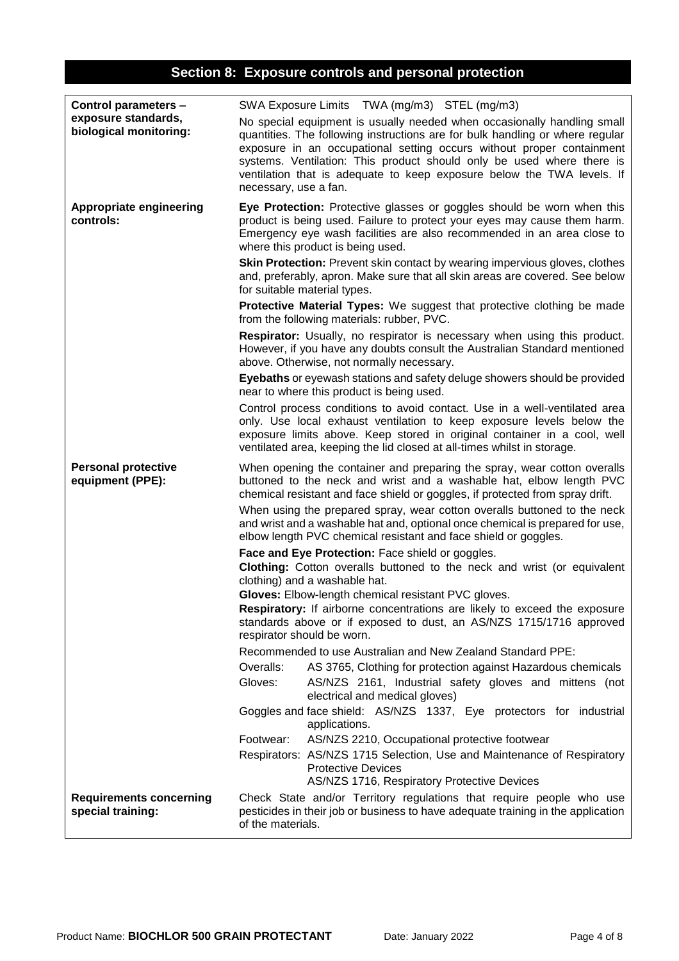# **Section 8: Exposure controls and personal protection**

| Control parameters -                                | SWA Exposure Limits TWA (mg/m3) STEL (mg/m3)                                                                                                                                                                                                                                                                                                                                                                  |  |  |
|-----------------------------------------------------|---------------------------------------------------------------------------------------------------------------------------------------------------------------------------------------------------------------------------------------------------------------------------------------------------------------------------------------------------------------------------------------------------------------|--|--|
| exposure standards,<br>biological monitoring:       | No special equipment is usually needed when occasionally handling small<br>quantities. The following instructions are for bulk handling or where regular<br>exposure in an occupational setting occurs without proper containment<br>systems. Ventilation: This product should only be used where there is<br>ventilation that is adequate to keep exposure below the TWA levels. If<br>necessary, use a fan. |  |  |
| <b>Appropriate engineering</b><br>controls:         | Eye Protection: Protective glasses or goggles should be worn when this<br>product is being used. Failure to protect your eyes may cause them harm.<br>Emergency eye wash facilities are also recommended in an area close to<br>where this product is being used.                                                                                                                                             |  |  |
|                                                     | <b>Skin Protection:</b> Prevent skin contact by wearing impervious gloves, clothes<br>and, preferably, apron. Make sure that all skin areas are covered. See below<br>for suitable material types.                                                                                                                                                                                                            |  |  |
|                                                     | <b>Protective Material Types:</b> We suggest that protective clothing be made<br>from the following materials: rubber, PVC.                                                                                                                                                                                                                                                                                   |  |  |
|                                                     | Respirator: Usually, no respirator is necessary when using this product.<br>However, if you have any doubts consult the Australian Standard mentioned<br>above. Otherwise, not normally necessary.                                                                                                                                                                                                            |  |  |
|                                                     | Eyebaths or eyewash stations and safety deluge showers should be provided<br>near to where this product is being used.                                                                                                                                                                                                                                                                                        |  |  |
|                                                     | Control process conditions to avoid contact. Use in a well-ventilated area<br>only. Use local exhaust ventilation to keep exposure levels below the<br>exposure limits above. Keep stored in original container in a cool, well<br>ventilated area, keeping the lid closed at all-times whilst in storage.                                                                                                    |  |  |
| <b>Personal protective</b><br>equipment (PPE):      | When opening the container and preparing the spray, wear cotton overalls<br>buttoned to the neck and wrist and a washable hat, elbow length PVC<br>chemical resistant and face shield or goggles, if protected from spray drift.                                                                                                                                                                              |  |  |
|                                                     | When using the prepared spray, wear cotton overalls buttoned to the neck<br>and wrist and a washable hat and, optional once chemical is prepared for use,<br>elbow length PVC chemical resistant and face shield or goggles.                                                                                                                                                                                  |  |  |
|                                                     | Face and Eye Protection: Face shield or goggles.<br>Clothing: Cotton overalls buttoned to the neck and wrist (or equivalent<br>clothing) and a washable hat.                                                                                                                                                                                                                                                  |  |  |
|                                                     | Gloves: Elbow-length chemical resistant PVC gloves.<br><b>Respiratory:</b> If airborne concentrations are likely to exceed the exposure<br>standards above or if exposed to dust, an AS/NZS 1715/1716 approved<br>respirator should be worn.                                                                                                                                                                  |  |  |
|                                                     | Recommended to use Australian and New Zealand Standard PPE:                                                                                                                                                                                                                                                                                                                                                   |  |  |
|                                                     | Overalls:<br>AS 3765, Clothing for protection against Hazardous chemicals<br>Gloves:<br>AS/NZS 2161, Industrial safety gloves and mittens (not<br>electrical and medical gloves)                                                                                                                                                                                                                              |  |  |
|                                                     | Goggles and face shield: AS/NZS 1337, Eye protectors for industrial<br>applications.                                                                                                                                                                                                                                                                                                                          |  |  |
|                                                     | Footwear:<br>AS/NZS 2210, Occupational protective footwear                                                                                                                                                                                                                                                                                                                                                    |  |  |
|                                                     | Respirators: AS/NZS 1715 Selection, Use and Maintenance of Respiratory<br><b>Protective Devices</b><br>AS/NZS 1716, Respiratory Protective Devices                                                                                                                                                                                                                                                            |  |  |
| <b>Requirements concerning</b><br>special training: | Check State and/or Territory regulations that require people who use<br>pesticides in their job or business to have adequate training in the application<br>of the materials.                                                                                                                                                                                                                                 |  |  |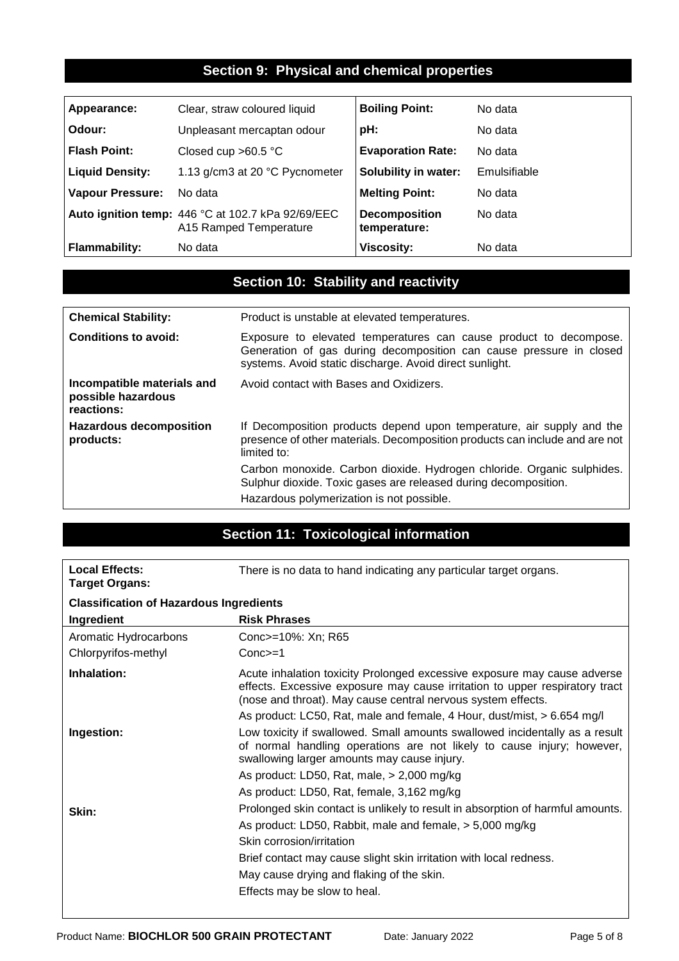## **Section 9: Physical and chemical properties**

| Appearance:             | Clear, straw coloured liquid                                                | <b>Boiling Point:</b>                | No data      |
|-------------------------|-----------------------------------------------------------------------------|--------------------------------------|--------------|
| Odour:                  | Unpleasant mercaptan odour                                                  | pH:                                  | No data      |
| <b>Flash Point:</b>     | Closed cup $>60.5$ °C                                                       | <b>Evaporation Rate:</b>             | No data      |
| <b>Liquid Density:</b>  | 1.13 g/cm3 at 20 °C Pycnometer                                              | Solubility in water:                 | Emulsifiable |
| <b>Vapour Pressure:</b> | No data                                                                     | <b>Melting Point:</b>                | No data      |
|                         | Auto ignition temp: 446 °C at 102.7 kPa 92/69/EEC<br>A15 Ramped Temperature | <b>Decomposition</b><br>temperature: | No data      |
| <b>Flammability:</b>    | No data                                                                     | <b>Viscosity:</b>                    | No data      |

## **Section 10: Stability and reactivity**

| <b>Chemical Stability:</b>                                     | Product is unstable at elevated temperatures.                                                                                                                                                       |  |
|----------------------------------------------------------------|-----------------------------------------------------------------------------------------------------------------------------------------------------------------------------------------------------|--|
| Conditions to avoid:                                           | Exposure to elevated temperatures can cause product to decompose.<br>Generation of gas during decomposition can cause pressure in closed<br>systems. Avoid static discharge. Avoid direct sunlight. |  |
| Incompatible materials and<br>possible hazardous<br>reactions: | Avoid contact with Bases and Oxidizers.                                                                                                                                                             |  |
| <b>Hazardous decomposition</b><br>products:                    | If Decomposition products depend upon temperature, air supply and the<br>presence of other materials. Decomposition products can include and are not<br>limited to:                                 |  |
|                                                                | Carbon monoxide. Carbon dioxide. Hydrogen chloride. Organic sulphides.<br>Sulphur dioxide. Toxic gases are released during decomposition.                                                           |  |
|                                                                | Hazardous polymerization is not possible.                                                                                                                                                           |  |

# **Section 11: Toxicological information**

| <b>Local Effects:</b><br><b>Target Organs:</b> | There is no data to hand indicating any particular target organs.                                                                                                                                                       |  |
|------------------------------------------------|-------------------------------------------------------------------------------------------------------------------------------------------------------------------------------------------------------------------------|--|
| <b>Classification of Hazardous Ingredients</b> |                                                                                                                                                                                                                         |  |
| Ingredient                                     | <b>Risk Phrases</b>                                                                                                                                                                                                     |  |
| Aromatic Hydrocarbons                          | Conc>=10%: Xn; R65                                                                                                                                                                                                      |  |
| Chlorpyrifos-methyl                            | $Conc>=1$                                                                                                                                                                                                               |  |
| Inhalation:                                    | Acute inhalation toxicity Prolonged excessive exposure may cause adverse<br>effects. Excessive exposure may cause irritation to upper respiratory tract<br>(nose and throat). May cause central nervous system effects. |  |
|                                                | As product: LC50, Rat, male and female, 4 Hour, dust/mist, > 6.654 mg/l                                                                                                                                                 |  |
| Ingestion:                                     | Low toxicity if swallowed. Small amounts swallowed incidentally as a result<br>of normal handling operations are not likely to cause injury; however,<br>swallowing larger amounts may cause injury.                    |  |
|                                                | As product: LD50, Rat, male, $>$ 2,000 mg/kg                                                                                                                                                                            |  |
|                                                | As product: LD50, Rat, female, 3,162 mg/kg                                                                                                                                                                              |  |
| Skin:                                          | Prolonged skin contact is unlikely to result in absorption of harmful amounts.                                                                                                                                          |  |
|                                                | As product: LD50, Rabbit, male and female, > 5,000 mg/kg                                                                                                                                                                |  |
|                                                | Skin corrosion/irritation                                                                                                                                                                                               |  |
|                                                | Brief contact may cause slight skin irritation with local redness.                                                                                                                                                      |  |
|                                                | May cause drying and flaking of the skin.                                                                                                                                                                               |  |
|                                                | Effects may be slow to heal.                                                                                                                                                                                            |  |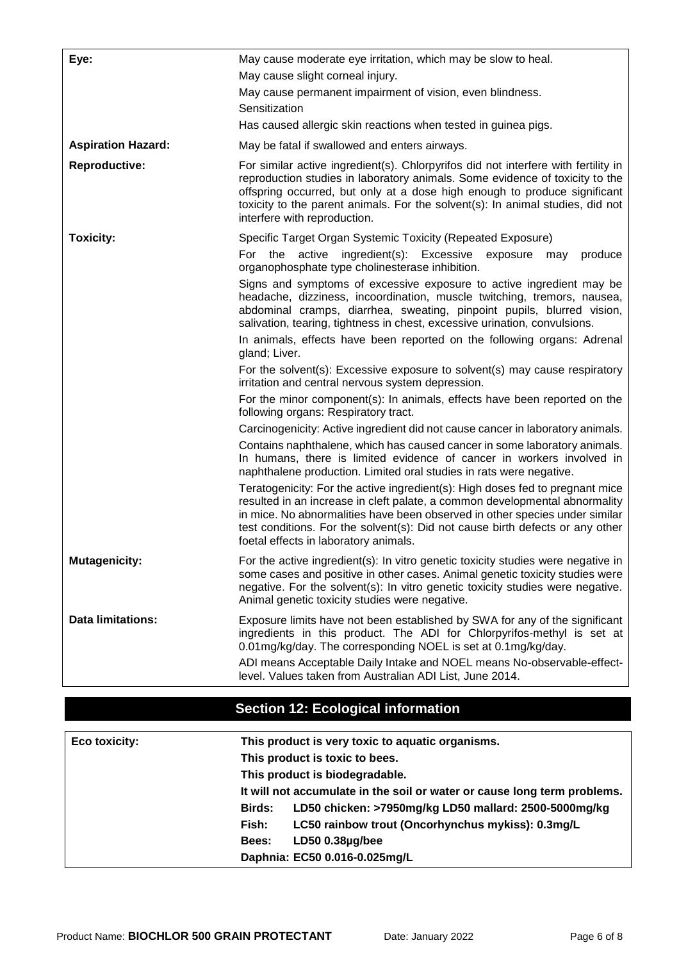| Eye:                      | May cause moderate eye irritation, which may be slow to heal.<br>May cause slight corneal injury.<br>May cause permanent impairment of vision, even blindness.                                                                                                                                                                                                        |
|---------------------------|-----------------------------------------------------------------------------------------------------------------------------------------------------------------------------------------------------------------------------------------------------------------------------------------------------------------------------------------------------------------------|
|                           | Sensitization                                                                                                                                                                                                                                                                                                                                                         |
|                           | Has caused allergic skin reactions when tested in guinea pigs.                                                                                                                                                                                                                                                                                                        |
| <b>Aspiration Hazard:</b> | May be fatal if swallowed and enters airways.                                                                                                                                                                                                                                                                                                                         |
| Reproductive:             | For similar active ingredient(s). Chlorpyrifos did not interfere with fertility in<br>reproduction studies in laboratory animals. Some evidence of toxicity to the<br>offspring occurred, but only at a dose high enough to produce significant<br>toxicity to the parent animals. For the solvent(s): In animal studies, did not<br>interfere with reproduction.     |
| <b>Toxicity:</b>          | Specific Target Organ Systemic Toxicity (Repeated Exposure)<br>For the active<br>ingredient(s): Excessive<br>produce<br>exposure<br>may                                                                                                                                                                                                                               |
|                           | organophosphate type cholinesterase inhibition.                                                                                                                                                                                                                                                                                                                       |
|                           | Signs and symptoms of excessive exposure to active ingredient may be<br>headache, dizziness, incoordination, muscle twitching, tremors, nausea,<br>abdominal cramps, diarrhea, sweating, pinpoint pupils, blurred vision,<br>salivation, tearing, tightness in chest, excessive urination, convulsions.                                                               |
|                           | In animals, effects have been reported on the following organs: Adrenal<br>gland; Liver.                                                                                                                                                                                                                                                                              |
|                           | For the solvent(s): Excessive exposure to solvent(s) may cause respiratory<br>irritation and central nervous system depression.                                                                                                                                                                                                                                       |
|                           | For the minor component(s): In animals, effects have been reported on the<br>following organs: Respiratory tract.                                                                                                                                                                                                                                                     |
|                           | Carcinogenicity: Active ingredient did not cause cancer in laboratory animals.                                                                                                                                                                                                                                                                                        |
|                           | Contains naphthalene, which has caused cancer in some laboratory animals.<br>In humans, there is limited evidence of cancer in workers involved in<br>naphthalene production. Limited oral studies in rats were negative.                                                                                                                                             |
|                           | Teratogenicity: For the active ingredient(s): High doses fed to pregnant mice<br>resulted in an increase in cleft palate, a common developmental abnormality<br>in mice. No abnormalities have been observed in other species under similar<br>test conditions. For the solvent(s): Did not cause birth defects or any other<br>foetal effects in laboratory animals. |
| <b>Mutagenicity:</b>      | For the active ingredient(s): In vitro genetic toxicity studies were negative in<br>some cases and positive in other cases. Animal genetic toxicity studies were<br>negative. For the solvent(s): In vitro genetic toxicity studies were negative.<br>Animal genetic toxicity studies were negative.                                                                  |
| <b>Data limitations:</b>  | Exposure limits have not been established by SWA for any of the significant<br>ingredients in this product. The ADI for Chlorpyrifos-methyl is set at<br>0.01mg/kg/day. The corresponding NOEL is set at 0.1mg/kg/day.                                                                                                                                                |
|                           | ADI means Acceptable Daily Intake and NOEL means No-observable-effect-<br>level. Values taken from Australian ADI List, June 2014.                                                                                                                                                                                                                                    |

# **Section 12: Ecological information**

| Eco toxicity: | This product is very toxic to aquatic organisms.                         |
|---------------|--------------------------------------------------------------------------|
|               | This product is toxic to bees.                                           |
|               | This product is biodegradable.                                           |
|               | It will not accumulate in the soil or water or cause long term problems. |
|               | LD50 chicken: >7950mg/kg LD50 mallard: 2500-5000mg/kg<br>Birds:          |
|               | LC50 rainbow trout (Oncorhynchus mykiss): 0.3mg/L<br>Fish:               |
|               | LD50 0.38µg/bee<br>Bees:                                                 |
|               | Daphnia: EC50 0.016-0.025mg/L                                            |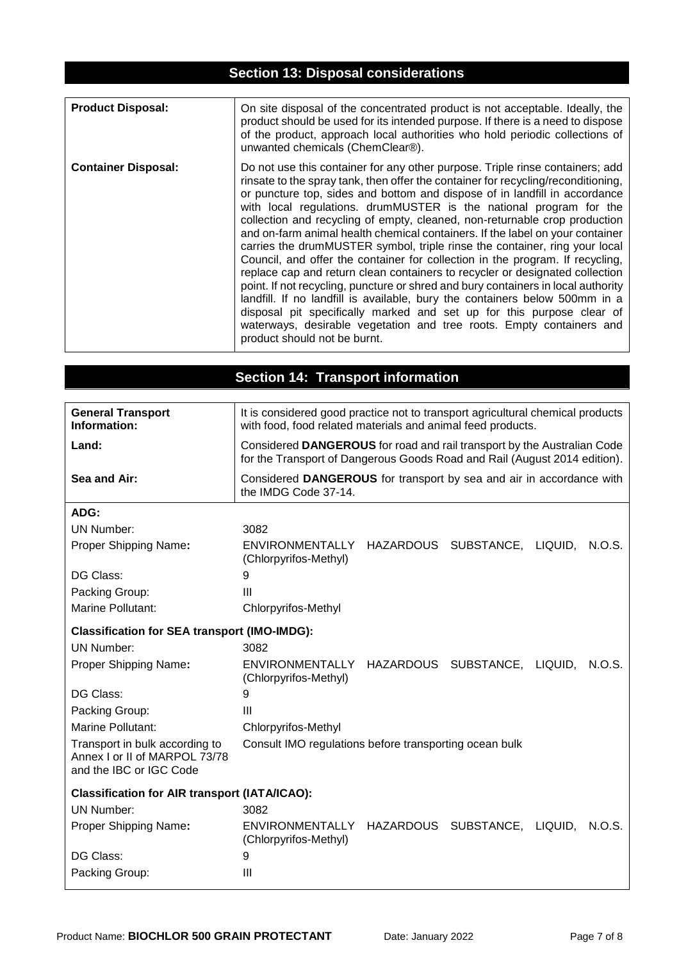## **Section 13: Disposal considerations**

| <b>Product Disposal:</b>   | On site disposal of the concentrated product is not acceptable. Ideally, the<br>product should be used for its intended purpose. If there is a need to dispose<br>of the product, approach local authorities who hold periodic collections of<br>unwanted chemicals (ChemClear®).                                                                                                                                                                                                                                                                                                                                                                                                                                                                                                                                                                                                                                                                                                                                                                                                         |
|----------------------------|-------------------------------------------------------------------------------------------------------------------------------------------------------------------------------------------------------------------------------------------------------------------------------------------------------------------------------------------------------------------------------------------------------------------------------------------------------------------------------------------------------------------------------------------------------------------------------------------------------------------------------------------------------------------------------------------------------------------------------------------------------------------------------------------------------------------------------------------------------------------------------------------------------------------------------------------------------------------------------------------------------------------------------------------------------------------------------------------|
| <b>Container Disposal:</b> | Do not use this container for any other purpose. Triple rinse containers; add<br>rinsate to the spray tank, then offer the container for recycling/reconditioning,<br>or puncture top, sides and bottom and dispose of in landfill in accordance<br>with local regulations. drumMUSTER is the national program for the<br>collection and recycling of empty, cleaned, non-returnable crop production<br>and on-farm animal health chemical containers. If the label on your container<br>carries the drumMUSTER symbol, triple rinse the container, ring your local<br>Council, and offer the container for collection in the program. If recycling,<br>replace cap and return clean containers to recycler or designated collection<br>point. If not recycling, puncture or shred and bury containers in local authority<br>landfill. If no landfill is available, bury the containers below 500mm in a<br>disposal pit specifically marked and set up for this purpose clear of<br>waterways, desirable vegetation and tree roots. Empty containers and<br>product should not be burnt. |

# **Section 14: Transport information**

| <b>General Transport</b><br>Information:                                                   | It is considered good practice not to transport agricultural chemical products<br>with food, food related materials and animal feed products.        |  |  |
|--------------------------------------------------------------------------------------------|------------------------------------------------------------------------------------------------------------------------------------------------------|--|--|
| Land:                                                                                      | Considered DANGEROUS for road and rail transport by the Australian Code<br>for the Transport of Dangerous Goods Road and Rail (August 2014 edition). |  |  |
| Sea and Air:                                                                               | Considered DANGEROUS for transport by sea and air in accordance with<br>the IMDG Code 37-14.                                                         |  |  |
| ADG:                                                                                       |                                                                                                                                                      |  |  |
| UN Number:                                                                                 | 3082                                                                                                                                                 |  |  |
| Proper Shipping Name:                                                                      | HAZARDOUS SUBSTANCE, LIQUID, N.O.S.<br>ENVIRONMENTALLY<br>(Chlorpyrifos-Methyl)                                                                      |  |  |
| DG Class:                                                                                  | 9                                                                                                                                                    |  |  |
| Packing Group:                                                                             | Ш                                                                                                                                                    |  |  |
| <b>Marine Pollutant:</b>                                                                   | Chlorpyrifos-Methyl                                                                                                                                  |  |  |
| <b>Classification for SEA transport (IMO-IMDG):</b>                                        |                                                                                                                                                      |  |  |
| <b>UN Number:</b>                                                                          | 3082                                                                                                                                                 |  |  |
| Proper Shipping Name:                                                                      | <b>ENVIRONMENTALLY</b><br>HAZARDOUS SUBSTANCE, LIQUID,<br>N.O.S.<br>(Chlorpyrifos-Methyl)                                                            |  |  |
| DG Class:                                                                                  | 9                                                                                                                                                    |  |  |
| Packing Group:                                                                             | Ш                                                                                                                                                    |  |  |
| Marine Pollutant:                                                                          | Chlorpyrifos-Methyl                                                                                                                                  |  |  |
| Transport in bulk according to<br>Annex I or II of MARPOL 73/78<br>and the IBC or IGC Code | Consult IMO regulations before transporting ocean bulk                                                                                               |  |  |
| <b>Classification for AIR transport (IATA/ICAO):</b>                                       |                                                                                                                                                      |  |  |
| <b>UN Number:</b>                                                                          | 3082                                                                                                                                                 |  |  |
| Proper Shipping Name:                                                                      | ENVIRONMENTALLY HAZARDOUS SUBSTANCE, LIQUID,<br>N.O.S.<br>(Chlorpyrifos-Methyl)                                                                      |  |  |
| DG Class:                                                                                  | 9                                                                                                                                                    |  |  |
| Packing Group:                                                                             | Ш                                                                                                                                                    |  |  |